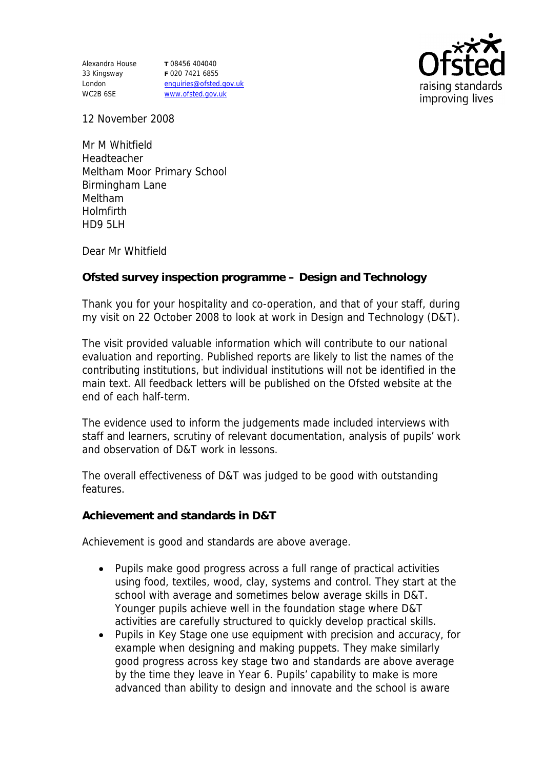Alexandra House 33 Kingsway London WC2B 6SE

**T** 08456 404040 **F** 020 7421 6855 enquiries@ofsted.gov.uk www.ofsted.gov.uk



12 November 2008

Mr M Whitfield Headteacher Meltham Moor Primary School Birmingham Lane Meltham Holmfirth HD9 5LH

Dear Mr Whitfield

**Ofsted survey inspection programme – Design and Technology** 

Thank you for your hospitality and co-operation, and that of your staff, during my visit on 22 October 2008 to look at work in Design and Technology (D&T).

The visit provided valuable information which will contribute to our national evaluation and reporting. Published reports are likely to list the names of the contributing institutions, but individual institutions will not be identified in the main text. All feedback letters will be published on the Ofsted website at the end of each half-term.

The evidence used to inform the judgements made included interviews with staff and learners, scrutiny of relevant documentation, analysis of pupils' work and observation of D&T work in lessons.

The overall effectiveness of D&T was judged to be good with outstanding features.

**Achievement and standards in D&T**

Achievement is good and standards are above average.

- Pupils make good progress across a full range of practical activities using food, textiles, wood, clay, systems and control. They start at the school with average and sometimes below average skills in D&T. Younger pupils achieve well in the foundation stage where D&T activities are carefully structured to quickly develop practical skills.
- Pupils in Key Stage one use equipment with precision and accuracy, for example when designing and making puppets. They make similarly good progress across key stage two and standards are above average by the time they leave in Year 6. Pupils' capability to make is more advanced than ability to design and innovate and the school is aware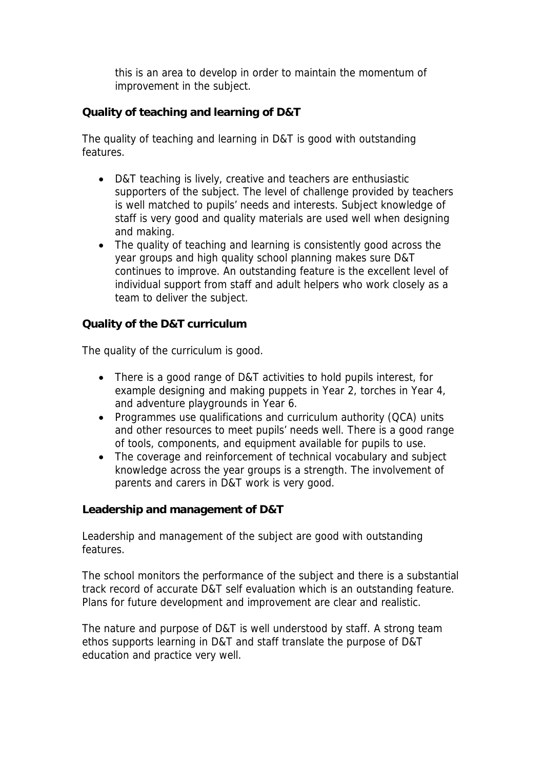this is an area to develop in order to maintain the momentum of improvement in the subject.

**Quality of teaching and learning of D&T**

The quality of teaching and learning in D&T is good with outstanding features.

- D&T teaching is lively, creative and teachers are enthusiastic supporters of the subject. The level of challenge provided by teachers is well matched to pupils' needs and interests. Subject knowledge of staff is very good and quality materials are used well when designing and making.
- The quality of teaching and learning is consistently good across the year groups and high quality school planning makes sure D&T continues to improve. An outstanding feature is the excellent level of individual support from staff and adult helpers who work closely as a team to deliver the subject.

**Quality of the D&T curriculum** 

The quality of the curriculum is good.

- There is a good range of D&T activities to hold pupils interest, for example designing and making puppets in Year 2, torches in Year 4, and adventure playgrounds in Year 6.
- Programmes use qualifications and curriculum authority (QCA) units and other resources to meet pupils' needs well. There is a good range of tools, components, and equipment available for pupils to use.
- The coverage and reinforcement of technical vocabulary and subject knowledge across the year groups is a strength. The involvement of parents and carers in D&T work is very good.

**Leadership and management of D&T**

Leadership and management of the subject are good with outstanding features.

The school monitors the performance of the subject and there is a substantial track record of accurate D&T self evaluation which is an outstanding feature. Plans for future development and improvement are clear and realistic.

The nature and purpose of D&T is well understood by staff. A strong team ethos supports learning in D&T and staff translate the purpose of D&T education and practice very well.